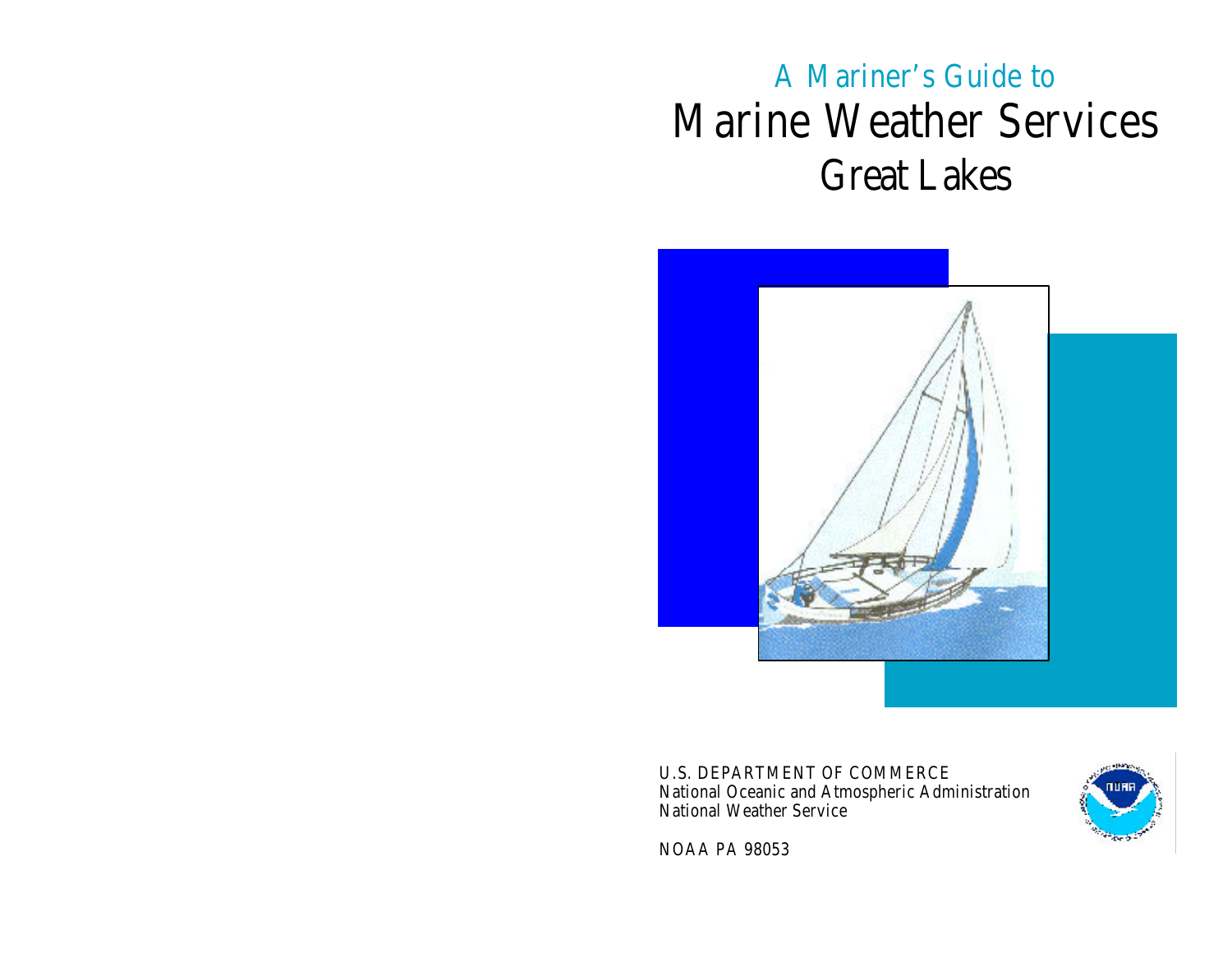# A Mariner's Guide to Marine Weather Services Great Lakes



U.S. DEPARTMENT OF COMMERCE National Oceanic and Atmospheric Administration National Weather Service



NOAA PA 98053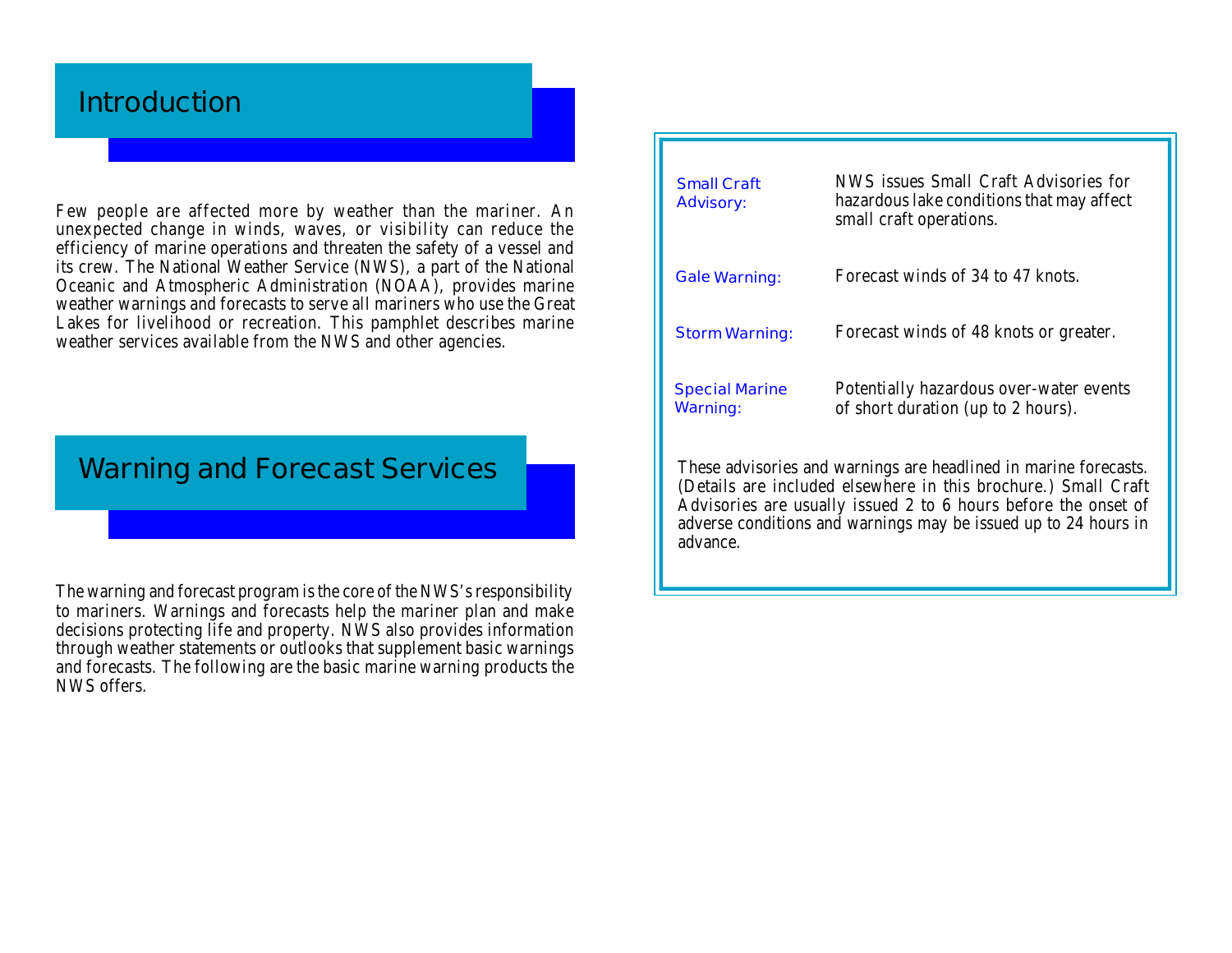# **Introduction**

Few people are affected more by weather than the mariner. An unexpected change in winds, waves, or visibility can reduce the efficiency of marine operations and threaten the safety of a vessel and its crew. The National Weather Service (NWS), a part of the National Oceanic and Atmospheric Administration (NOAA), provides marine weather warnings and forecasts to serve all mariners who use the Great Lakes for livelihood or recreation. This pamphlet describes marine weather services available from the NWS and other agencies.

# **Warning and Forecast Services**

The warning and forecast program is the core of the NWS's responsibility to mariners. Warnings and forecasts help the mariner plan and make decisions protecting life and property. NWS also provides information through weather statements or outlooks that supplement basic warnings and forecasts. The following are the basic marine warning products the NWS offers.

| <b>Small Craft</b><br><b>Advisory:</b>                                                                                                                                                                                                                                              | NWS issues Small Craft Advisories for<br>hazardous lake conditions that may affect<br>small craft operations. |
|-------------------------------------------------------------------------------------------------------------------------------------------------------------------------------------------------------------------------------------------------------------------------------------|---------------------------------------------------------------------------------------------------------------|
| <b>Gale Warning:</b>                                                                                                                                                                                                                                                                | Forecast winds of 34 to 47 knots.                                                                             |
| <b>Storm Warning:</b>                                                                                                                                                                                                                                                               | Forecast winds of 48 knots or greater.                                                                        |
| <b>Special Marine</b><br><b>Warning:</b>                                                                                                                                                                                                                                            | Potentially hazardous over-water events<br>of short duration (up to 2 hours).                                 |
| These advisories and warnings are headlined in marine forecasts.<br>(Details are included elsewhere in this brochure.) Small Craft<br>Advisories are usually issued 2 to 6 hours before the onset of<br>adverse conditions and warnings may be issued up to 24 hours in<br>advance. |                                                                                                               |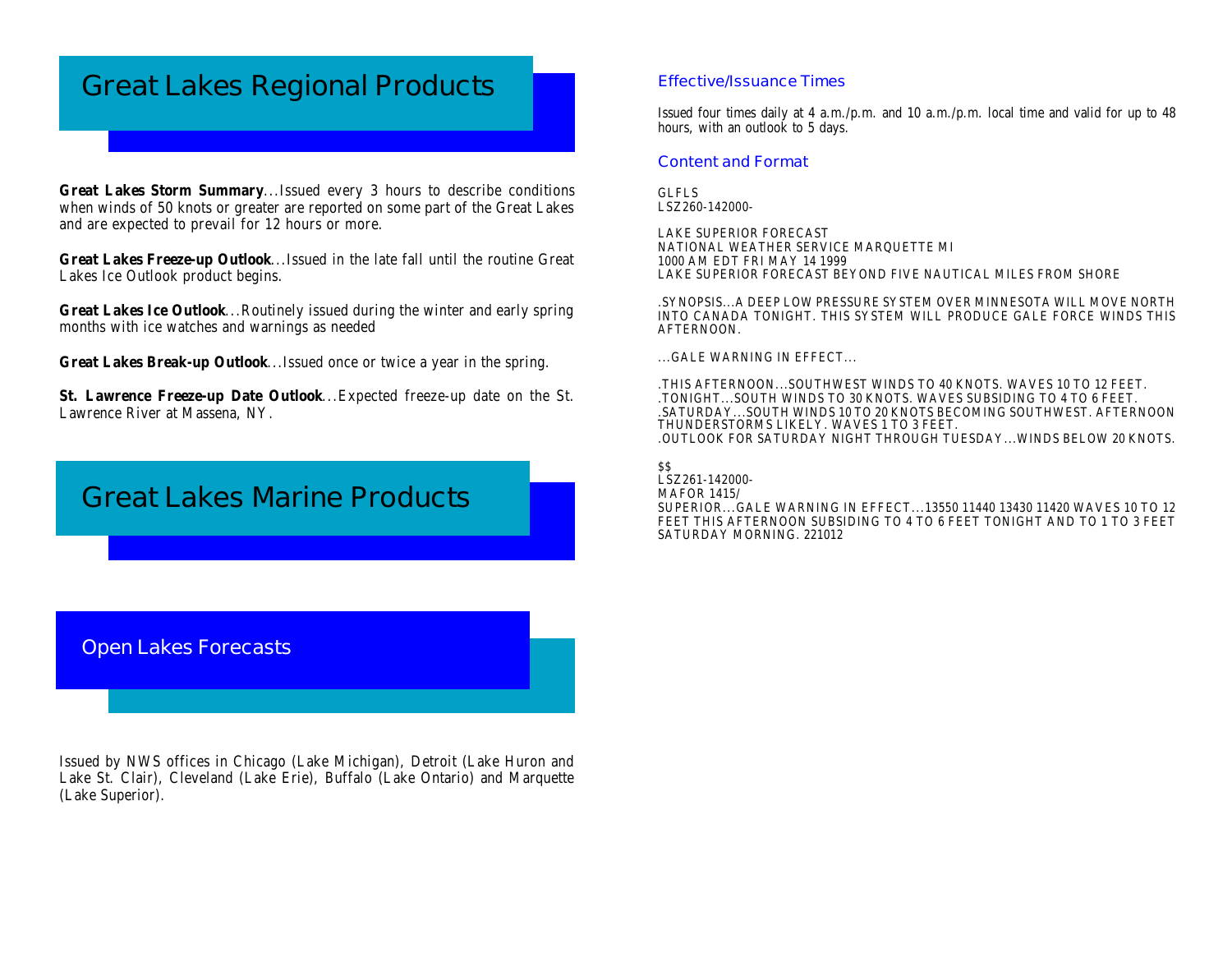# **Great Lakes Regional Products**

**Great Lakes Storm Summary**...Issued every 3 hours to describe conditions when winds of 50 knots or greater are reported on some part of the Great Lakes and are expected to prevail for 12 hours or more.

**Great Lakes Freeze-up Outlook**...Issued in the late fall until the routine Great Lakes Ice Outlook product begins.

**Great Lakes Ice Outlook**...Routinely issued during the winter and early spring months with ice watches and warnings as needed

**Great Lakes Break-up Outlook**...Issued once or twice a year in the spring.

**St. Lawrence Freeze-up Date Outlook**...Expected freeze-up date on the St. Lawrence River at Massena, NY.

# **Great Lakes Marine Products**

#### **Effective/Issuance Times**

Issued four times daily at 4 a.m./p.m. and 10 a.m./p.m. local time and valid for up to 48 hours, with an outlook to 5 days.

#### **Content and Format**

GLFLS LSZ260-142000-

LAKE SUPERIOR FORECAST NATIONAL WEATHER SERVICE MARQUETTE MI 1000 AM EDT FRI MAY 14 1999 LAKE SUPERIOR FORECAST BEYOND FIVE NAUTICAL MILES FROM SHORE

.SYNOPSIS...A DEEP LOW PRESSURE SYSTEM OVER MINNESOTA WILL MOVE NORTH INTO CANADA TONIGHT. THIS SYSTEM WILL PRODUCE GALE FORCE WINDS THIS AFTERNOON.

...GALE WARNING IN EFFECT...

.THIS AFTERNOON...SOUTHWEST WINDS TO 40 KNOTS. WAVES 10 TO 12 FEET. .TONIGHT...SOUTH WINDS TO 30 KNOTS. WAVES SUBSIDING TO 4 TO 6 FEET. .SATURDAY...SOUTH WINDS 10 TO 20 KNOTS BECOMING SOUTHWEST. AFTERNOON THUNDERSTORMS LIKELY. WAVES 1 TO 3 FEET. .OUTLOOK FOR SATURDAY NIGHT THROUGH TUESDAY...WINDS BELOW 20 KNOTS.

 $SS$ LSZ261-142000- MAFOR 1415/ SUPERIOR...GALE WARNING IN EFFECT...13550 11440 13430 11420 WAVES 10 TO 12 FEET THIS AFTERNOON SUBSIDING TO 4 TO 6 FEET TONIGHT AND TO 1 TO 3 FEET SATURDAY MORNING. 221012

### **Open Lakes Forecasts**

Issued by NWS offices in Chicago (Lake Michigan), Detroit (Lake Huron and Lake St. Clair), Cleveland (Lake Erie), Buffalo (Lake Ontario) and Marquette (Lake Superior).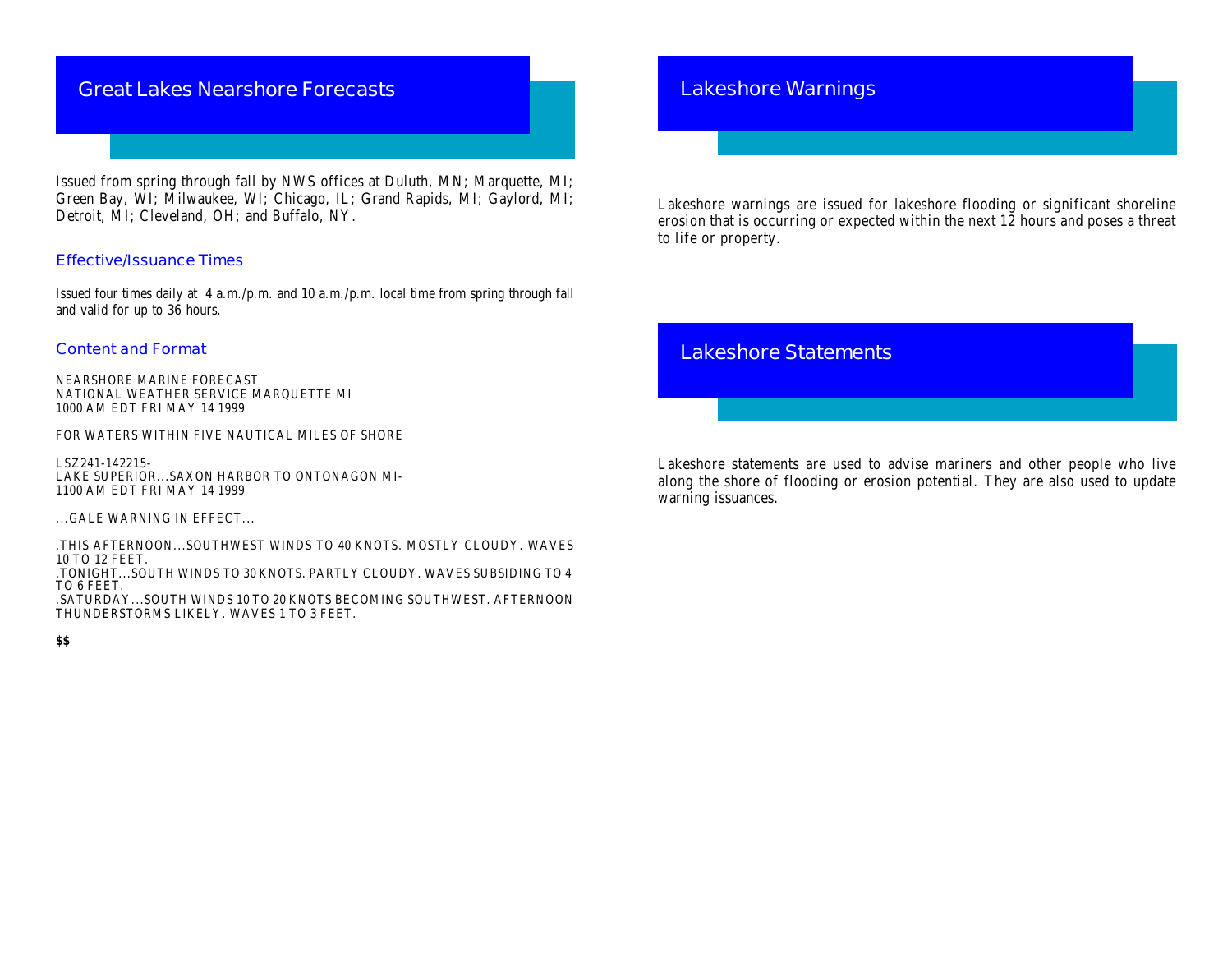# **Great Lakes Nearshore Forecasts**

Issued from spring through fall by NWS offices at Duluth, MN; Marquette, MI; Green Bay, WI; Milwaukee, WI; Chicago, IL; Grand Rapids, MI; Gaylord, MI; Detroit, MI; Cleveland, OH; and Buffalo, NY.

#### **Effective/Issuance Times**

Issued four times daily at 4 a.m./p.m. and 10 a.m./p.m. local time from spring through fall and valid for up to 36 hours.

#### **Content and Format**

NEARSHORE MARINE FORECAST NATIONAL WEATHER SERVICE MARQUETTE MI 1000 AM EDT FRI MAY 14 1999

FOR WATERS WITHIN FIVE NAUTICAL MILES OF SHORE

LSZ241-142215- LAKE SUPERIOR...SAXON HARBOR TO ONTONAGON MI-1100 AM EDT FRI MAY 14 1999

...GALE WARNING IN EFFECT...

.THIS AFTERNOON...SOUTHWEST WINDS TO 40 KNOTS. MOSTLY CLOUDY. WAVES 10 TO 12 FEET.

.TONIGHT...SOUTH WINDS TO 30 KNOTS. PARTLY CLOUDY. WAVES SUBSIDING TO 4 TO 6 FEET.

.SATURDAY...SOUTH WINDS 10 TO 20 KNOTS BECOMING SOUTHWEST. AFTERNOON THUNDERSTORMS LIKELY. WAVES 1 TO 3 FEET.

#### **\$\$**

### **Lakeshore Warnings**

Lakeshore warnings are issued for lakeshore flooding or significant shoreline erosion that is occurring or expected within the next 12 hours and poses a threat to life or property.

# **Lakeshore Statements**

Lakeshore statements are used to advise mariners and other people who live along the shore of flooding or erosion potential. They are also used to update warning issuances.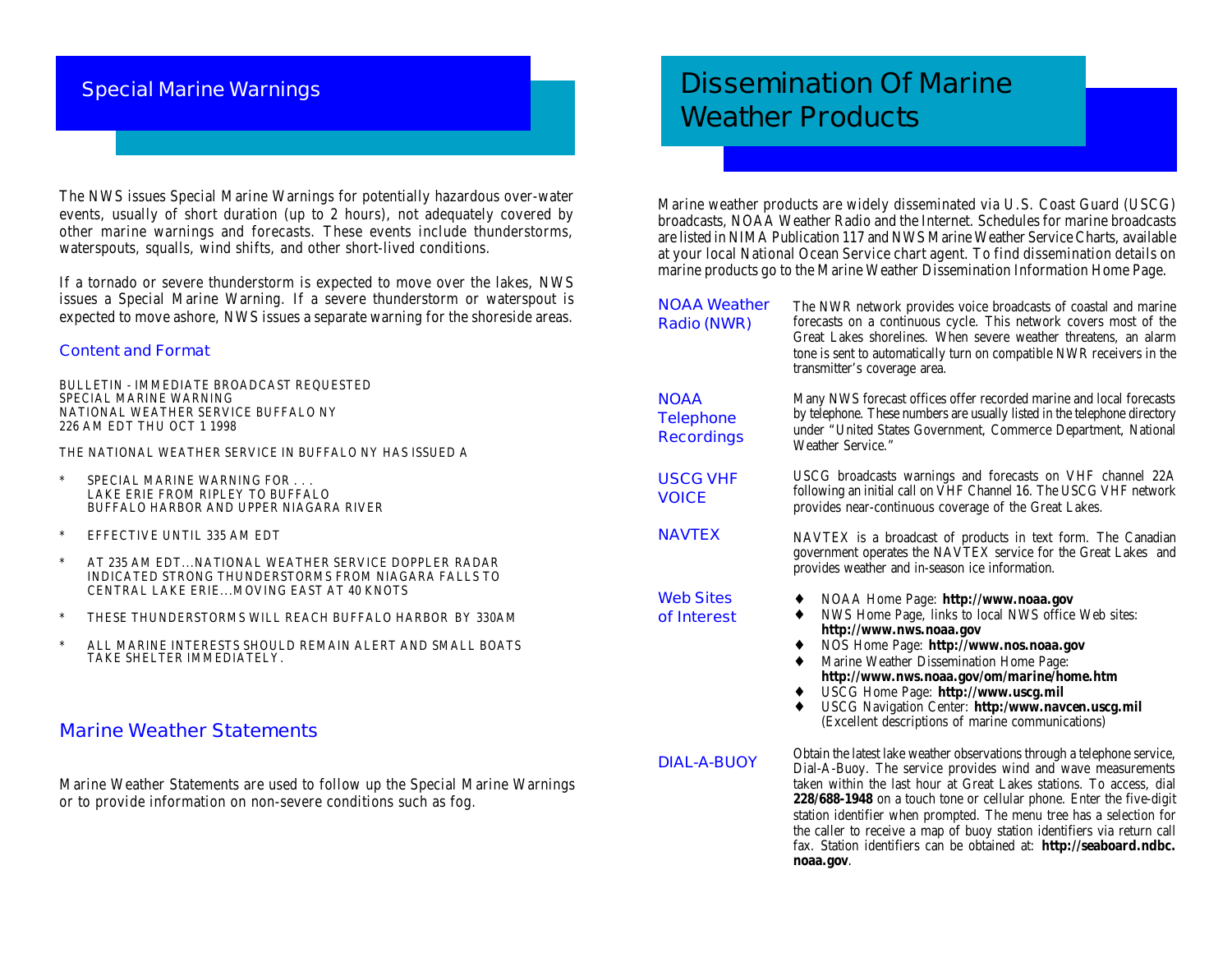### **Special Marine Warnings**

The NWS issues Special Marine Warnings for potentially hazardous over-water events, usually of short duration (up to 2 hours), not adequately covered by other marine warnings and forecasts. These events include thunderstorms, waterspouts, squalls, wind shifts, and other short-lived conditions.

If a tornado or severe thunderstorm is expected to move over the lakes, NWS issues a Special Marine Warning. If a severe thunderstorm or waterspout is expected to move ashore, NWS issues a separate warning for the shoreside areas.

#### **Content and Format**

BULLETIN - IMMEDIATE BROADCAST REQUESTED SPECIAL MARINE WARNING NATIONAL WEATHER SERVICE BUFFALO NY 226 AM EDT THU OCT 1 1998

THE NATIONAL WEATHER SERVICE IN BUFFALO NY HAS ISSUED A

- SPECIAL MARINE WARNING FOR . . . LAKE ERIE FROM RIPLEY TO BUFFALO BUFFALO HARBOR AND UPPER NIAGARA RIVER
- \* EFFECTIVE UNTIL 335 AM EDT
- \* AT 235 AM EDT...NATIONAL WEATHER SERVICE DOPPLER RADAR INDICATED STRONG THUNDERSTORMS FROM NIAGARA FALLS TO CENTRAL LAKE ERIE...MOVING EAST AT 40 KNOTS
- \* THESE THUNDERSTORMS WILL REACH BUFFALO HARBOR BY 330AM
- \* ALL MARINE INTERESTS SHOULD REMAIN ALERT AND SMALL BOATS TAKE SHELTER IMMEDIATELY.

### **Marine Weather Statements**

Marine Weather Statements are used to follow up the Special Marine Warnings or to provide information on non-severe conditions such as fog.

# **Dissemination Of Marine Weather Products**

Marine weather products are widely disseminated via U.S. Coast Guard (USCG) broadcasts, NOAA Weather Radio and the Internet. Schedules for marine broadcasts are listed in NIMA Publication 117 and NWS Marine Weather Service Charts, available at your local National Ocean Service chart agent. To find dissemination details on marine products go to the Marine Weather Dissemination Information Home Page.

**NOAA Weather Radio (NWR)** The NWR network provides voice broadcasts of coastal and marine forecasts on a continuous cycle. This network covers most of the Great Lakes shorelines. When severe weather threatens, an alarm tone is sent to automatically turn on compatible NWR receivers in the transmitter's coverage area. Many NWS forecast offices offer recorded marine and local forecasts by telephone. These numbers are usually listed in the telephone directory under "United States Government, Commerce Department, National Weather Service." USCG broadcasts warnings and forecasts on VHF channel 22A following an initial call on VHF Channel 16. The USCG VHF network provides near-continuous coverage of the Great Lakes. NAVTEX is a broadcast of products in text form. The Canadian government operates the NAVTEX service for the Great Lakes and provides weather and in-season ice information. ♦ NOAA Home Page: **http://www.noaa.gov** NWS Home Page, links to local NWS office Web sites: **http://www.nws.noaa.gov** ♦ NOS Home Page: **http://www.nos.noaa.gov Marine Weather Dissemination Home Page: http://www.nws.noaa.gov/om/marine/home.htm** ♦ USCG Home Page: **http://www.uscg.mil** USCG Navigation Center: http:/www.navcen.uscg.mil (Excellent descriptions of marine communications) Obtain the latest lake weather observations through a telephone service, Dial-A-Buoy. The service provides wind and wave measurements taken within the last hour at Great Lakes stations. To access, dial **228/688-1948** on a touch tone or cellular phone. Enter the five-digit station identifier when prompted. The menu tree has a selection for **DIAL-A-BUOY Web Sites of Interest NAVTEX USCG VHF VOICE NOAA Telephone Recordings**

the caller to receive a map of buoy station identifiers via return call fax. Station identifiers can be obtained at: **http://seaboard.ndbc.**

**noaa.gov**.